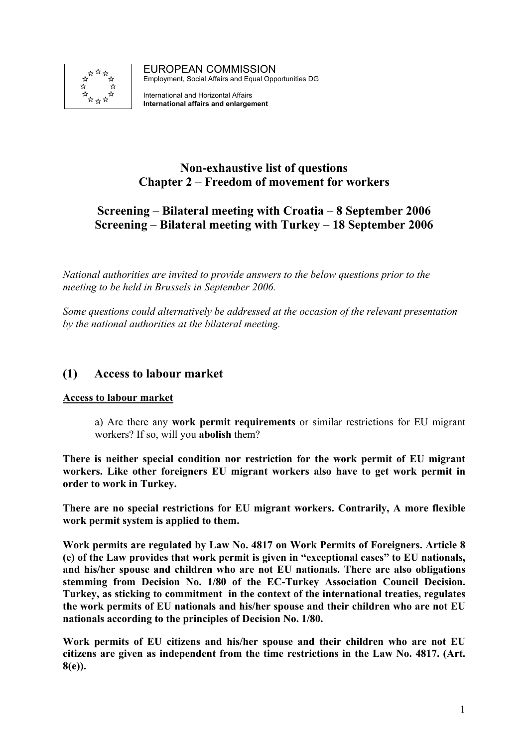

EUROPEAN COMMISSION Employment, Social Affairs and Equal Opportunities DG

International and Horizontal Affairs **International affairs and enlargement**

# **Non-exhaustive list of questions Chapter 2 – Freedom of movement for workers**

# **Screening – Bilateral meeting with Croatia – 8 September 2006 Screening – Bilateral meeting with Turkey – 18 September 2006**

*National authorities are invited to provide answers to the below questions prior to the meeting to be held in Brussels in September 2006.* 

*Some questions could alternatively be addressed at the occasion of the relevant presentation by the national authorities at the bilateral meeting.* 

# **(1) Access to labour market**

### **Access to labour market**

a) Are there any **work permit requirements** or similar restrictions for EU migrant workers? If so, will you **abolish** them?

**There is neither special condition nor restriction for the work permit of EU migrant workers. Like other foreigners EU migrant workers also have to get work permit in order to work in Turkey.** 

**There are no special restrictions for EU migrant workers. Contrarily, A more flexible work permit system is applied to them.** 

**Work permits are regulated by Law No. 4817 on Work Permits of Foreigners. Article 8 (e) of the Law provides that work permit is given in "exceptional cases" to EU nationals, and his/her spouse and children who are not EU nationals. There are also obligations stemming from Decision No. 1/80 of the EC-Turkey Association Council Decision. Turkey, as sticking to commitment in the context of the international treaties, regulates the work permits of EU nationals and his/her spouse and their children who are not EU nationals according to the principles of Decision No. 1/80.** 

**Work permits of EU citizens and his/her spouse and their children who are not EU citizens are given as independent from the time restrictions in the Law No. 4817. (Art. 8(e)).**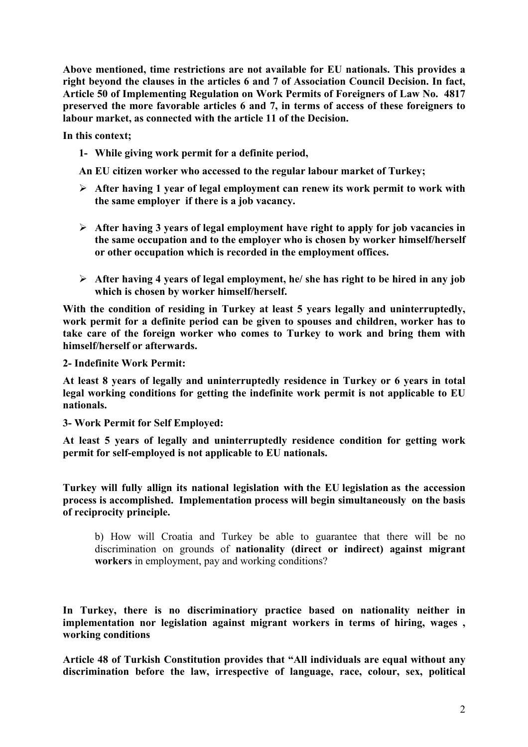**Above mentioned, time restrictions are not available for EU nationals. This provides a right beyond the clauses in the articles 6 and 7 of Association Council Decision. In fact, Article 50 of Implementing Regulation on Work Permits of Foreigners of Law No. 4817 preserved the more favorable articles 6 and 7, in terms of access of these foreigners to labour market, as connected with the article 11 of the Decision.** 

**In this context;** 

**1- While giving work permit for a definite period,** 

**An EU citizen worker who accessed to the regular labour market of Turkey;** 

- ¾ **After having 1 year of legal employment can renew its work permit to work with the same employer if there is a job vacancy.**
- ¾ **After having 3 years of legal employment have right to apply for job vacancies in the same occupation and to the employer who is chosen by worker himself/herself or other occupation which is recorded in the employment offices.**
- ¾ **After having 4 years of legal employment, he/ she has right to be hired in any job which is chosen by worker himself/herself.**

**With the condition of residing in Turkey at least 5 years legally and uninterruptedly, work permit for a definite period can be given to spouses and children, worker has to take care of the foreign worker who comes to Turkey to work and bring them with himself/herself or afterwards.** 

**2- Indefinite Work Permit:** 

**At least 8 years of legally and uninterruptedly residence in Turkey or 6 years in total legal working conditions for getting the indefinite work permit is not applicable to EU nationals.** 

**3- Work Permit for Self Employed:** 

**At least 5 years of legally and uninterruptedly residence condition for getting work permit for self-employed is not applicable to EU nationals.** 

**Turkey will fully allign its national legislation with the EU legislation as the accession process is accomplished. Implementation process will begin simultaneously on the basis of reciprocity principle.** 

b) How will Croatia and Turkey be able to guarantee that there will be no discrimination on grounds of **nationality (direct or indirect) against migrant workers** in employment, pay and working conditions?

**In Turkey, there is no discriminatiory practice based on nationality neither in implementation nor legislation against migrant workers in terms of hiring, wages , working conditions** 

**Article 48 of Turkish Constitution provides that "All individuals are equal without any discrimination before the law, irrespective of language, race, colour, sex, political**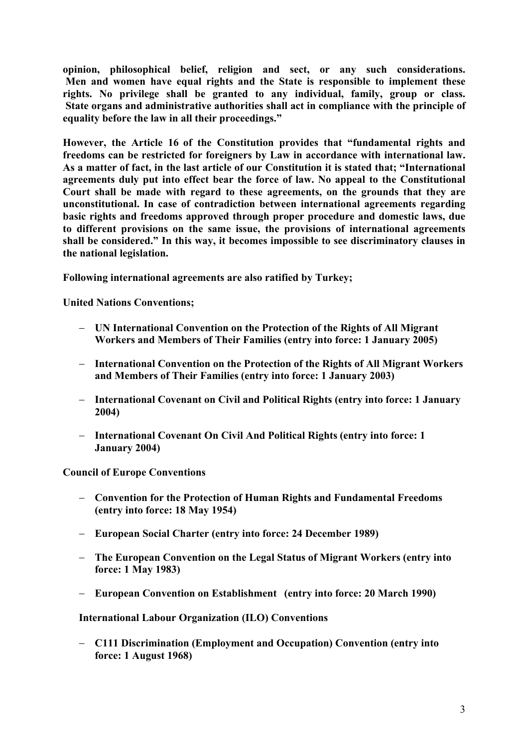**opinion, philosophical belief, religion and sect, or any such considerations. Men and women have equal rights and the State is responsible to implement these rights. No privilege shall be granted to any individual, family, group or class. State organs and administrative authorities shall act in compliance with the principle of equality before the law in all their proceedings."** 

**However, the Article 16 of the Constitution provides that "fundamental rights and freedoms can be restricted for foreigners by Law in accordance with international law. As a matter of fact, in the last article of our Constitution it is stated that; "International agreements duly put into effect bear the force of law. No appeal to the Constitutional Court shall be made with regard to these agreements, on the grounds that they are unconstitutional. In case of contradiction between international agreements regarding basic rights and freedoms approved through proper procedure and domestic laws, due to different provisions on the same issue, the provisions of international agreements shall be considered." In this way, it becomes impossible to see discriminatory clauses in the national legislation.** 

**Following international agreements are also ratified by Turkey;** 

**United Nations Conventions;** 

- − **UN International Convention on the Protection of the Rights of All Migrant Workers and Members of Their Families (entry into force: 1 January 2005)**
- − **International Convention on the Protection of the Rights of All Migrant Workers and Members of Their Families (entry into force: 1 January 2003)**
- − **International Covenant on Civil and Political Rights (entry into force: 1 January 2004)**
- − **International Covenant On Civil And Political Rights (entry into force: 1 January 2004)**

**Council of Europe Conventions** 

- − **Convention for the Protection of Human Rights and Fundamental Freedoms (entry into force: 18 May 1954)**
- − **European Social Charter (entry into force: 24 December 1989)**
- − **The European Convention on the Legal Status of Migrant Workers (entry into force: 1 May 1983)**
- − **European Convention on Establishment (entry into force: 20 March 1990)**

**International Labour Organization (ILO) Conventions** 

− **C111 Discrimination (Employment and Occupation) Convention (entry into force: 1 August 1968)**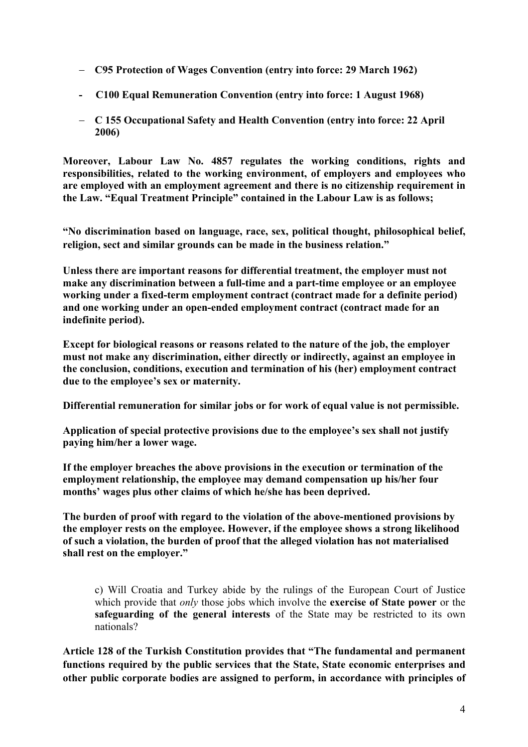- − **C95 Protection of Wages Convention (entry into force: 29 March 1962)**
- **C100 Equal Remuneration Convention (entry into force: 1 August 1968)**
- − **C 155 Occupational Safety and Health Convention (entry into force: 22 April 2006)**

**Moreover, Labour Law No. 4857 regulates the working conditions, rights and responsibilities, related to the working environment, of employers and employees who are employed with an employment agreement and there is no citizenship requirement in the Law. "Equal Treatment Principle" contained in the Labour Law is as follows;** 

**"No discrimination based on language, race, sex, political thought, philosophical belief, religion, sect and similar grounds can be made in the business relation."** 

**Unless there are important reasons for differential treatment, the employer must not make any discrimination between a full-time and a part-time employee or an employee working under a fixed-term employment contract (contract made for a definite period) and one working under an open-ended employment contract (contract made for an indefinite period).** 

**Except for biological reasons or reasons related to the nature of the job, the employer must not make any discrimination, either directly or indirectly, against an employee in the conclusion, conditions, execution and termination of his (her) employment contract due to the employee's sex or maternity.** 

**Differential remuneration for similar jobs or for work of equal value is not permissible.** 

**Application of special protective provisions due to the employee's sex shall not justify paying him/her a lower wage.** 

**If the employer breaches the above provisions in the execution or termination of the employment relationship, the employee may demand compensation up his/her four months' wages plus other claims of which he/she has been deprived.** 

**The burden of proof with regard to the violation of the above-mentioned provisions by the employer rests on the employee. However, if the employee shows a strong likelihood of such a violation, the burden of proof that the alleged violation has not materialised shall rest on the employer."** 

c) Will Croatia and Turkey abide by the rulings of the European Court of Justice which provide that *only* those jobs which involve the **exercise of State power** or the **safeguarding of the general interests** of the State may be restricted to its own nationals?

**Article 128 of the Turkish Constitution provides that "The fundamental and permanent functions required by the public services that the State, State economic enterprises and other public corporate bodies are assigned to perform, in accordance with principles of**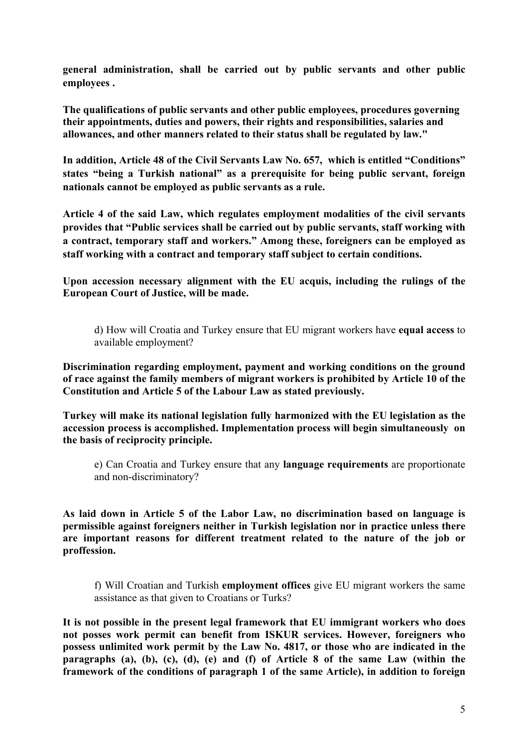**general administration, shall be carried out by public servants and other public employees .**

**The qualifications of public servants and other public employees, procedures governing their appointments, duties and powers, their rights and responsibilities, salaries and allowances, and other manners related to their status shall be regulated by law."**

**In addition, Article 48 of the Civil Servants Law No. 657, which is entitled "Conditions" states "being a Turkish national" as a prerequisite for being public servant, foreign nationals cannot be employed as public servants as a rule.** 

**Article 4 of the said Law, which regulates employment modalities of the civil servants provides that "Public services shall be carried out by public servants, staff working with a contract, temporary staff and workers." Among these, foreigners can be employed as staff working with a contract and temporary staff subject to certain conditions.** 

**Upon accession necessary alignment with the EU acquis, including the rulings of the European Court of Justice, will be made.** 

d) How will Croatia and Turkey ensure that EU migrant workers have **equal access** to available employment?

**Discrimination regarding employment, payment and working conditions on the ground of race against the family members of migrant workers is prohibited by Article 10 of the Constitution and Article 5 of the Labour Law as stated previously.** 

**Turkey will make its national legislation fully harmonized with the EU legislation as the accession process is accomplished. Implementation process will begin simultaneously on the basis of reciprocity principle.** 

e) Can Croatia and Turkey ensure that any **language requirements** are proportionate and non-discriminatory?

**As laid down in Article 5 of the Labor Law, no discrimination based on language is permissible against foreigners neither in Turkish legislation nor in practice unless there are important reasons for different treatment related to the nature of the job or proffession.** 

f) Will Croatian and Turkish **employment offices** give EU migrant workers the same assistance as that given to Croatians or Turks?

**It is not possible in the present legal framework that EU immigrant workers who does not posses work permit can benefit from ISKUR services. However, foreigners who possess unlimited work permit by the Law No. 4817, or those who are indicated in the paragraphs (a), (b), (c), (d), (e) and (f) of Article 8 of the same Law (within the framework of the conditions of paragraph 1 of the same Article), in addition to foreign**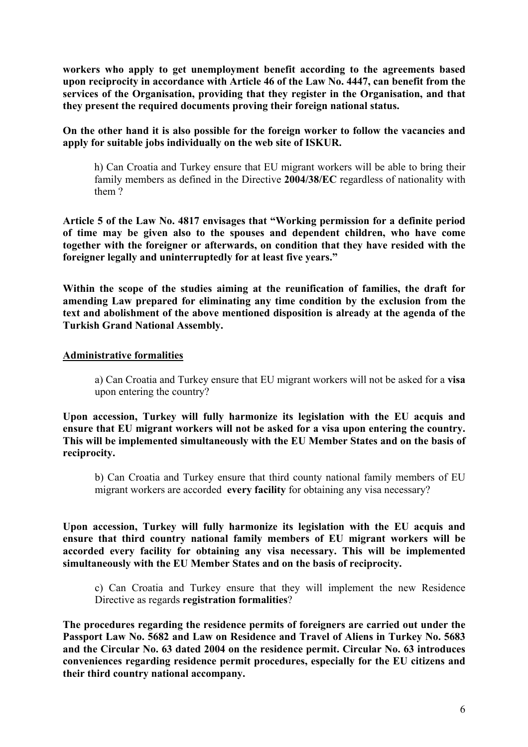**workers who apply to get unemployment benefit according to the agreements based upon reciprocity in accordance with Article 46 of the Law No. 4447, can benefit from the services of the Organisation, providing that they register in the Organisation, and that they present the required documents proving their foreign national status.** 

**On the other hand it is also possible for the foreign worker to follow the vacancies and apply for suitable jobs individually on the web site of ISKUR.** 

h) Can Croatia and Turkey ensure that EU migrant workers will be able to bring their family members as defined in the Directive **2004/38/EC** regardless of nationality with them ?

**Article 5 of the Law No. 4817 envisages that "Working permission for a definite period of time may be given also to the spouses and dependent children, who have come together with the foreigner or afterwards, on condition that they have resided with the foreigner legally and uninterruptedly for at least five years."** 

**Within the scope of the studies aiming at the reunification of families, the draft for amending Law prepared for eliminating any time condition by the exclusion from the text and abolishment of the above mentioned disposition is already at the agenda of the Turkish Grand National Assembly.** 

#### **Administrative formalities**

a) Can Croatia and Turkey ensure that EU migrant workers will not be asked for a **visa**  upon entering the country?

**Upon accession, Turkey will fully harmonize its legislation with the EU acquis and ensure that EU migrant workers will not be asked for a visa upon entering the country. This will be implemented simultaneously with the EU Member States and on the basis of reciprocity.** 

b) Can Croatia and Turkey ensure that third county national family members of EU migrant workers are accorded **every facility** for obtaining any visa necessary?

**Upon accession, Turkey will fully harmonize its legislation with the EU acquis and ensure that third country national family members of EU migrant workers will be accorded every facility for obtaining any visa necessary. This will be implemented simultaneously with the EU Member States and on the basis of reciprocity.** 

c) Can Croatia and Turkey ensure that they will implement the new Residence Directive as regards **registration formalities**?

**The procedures regarding the residence permits of foreigners are carried out under the Passport Law No. 5682 and Law on Residence and Travel of Aliens in Turkey No. 5683 and the Circular No. 63 dated 2004 on the residence permit. Circular No. 63 introduces conveniences regarding residence permit procedures, especially for the EU citizens and their third country national accompany.**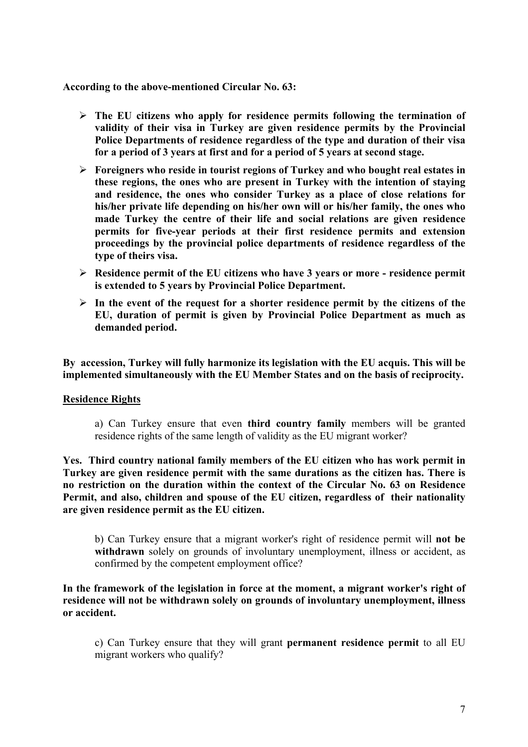#### **According to the above-mentioned Circular No. 63:**

- ¾ **The EU citizens who apply for residence permits following the termination of validity of their visa in Turkey are given residence permits by the Provincial Police Departments of residence regardless of the type and duration of their visa for a period of 3 years at first and for a period of 5 years at second stage.**
- ¾ **Foreigners who reside in tourist regions of Turkey and who bought real estates in these regions, the ones who are present in Turkey with the intention of staying and residence, the ones who consider Turkey as a place of close relations for his/her private life depending on his/her own will or his/her family, the ones who made Turkey the centre of their life and social relations are given residence permits for five-year periods at their first residence permits and extension proceedings by the provincial police departments of residence regardless of the type of theirs visa.**
- ¾ **Residence permit of the EU citizens who have 3 years or more residence permit is extended to 5 years by Provincial Police Department.**
- $\triangleright$  In the event of the request for a shorter residence permit by the citizens of the **EU, duration of permit is given by Provincial Police Department as much as demanded period.**

**By accession, Turkey will fully harmonize its legislation with the EU acquis. This will be implemented simultaneously with the EU Member States and on the basis of reciprocity.** 

#### **Residence Rights**

a) Can Turkey ensure that even **third country family** members will be granted residence rights of the same length of validity as the EU migrant worker?

**Yes. Third country national family members of the EU citizen who has work permit in Turkey are given residence permit with the same durations as the citizen has. There is no restriction on the duration within the context of the Circular No. 63 on Residence Permit, and also, children and spouse of the EU citizen, regardless of their nationality are given residence permit as the EU citizen.** 

b) Can Turkey ensure that a migrant worker's right of residence permit will **not be**  withdrawn solely on grounds of involuntary unemployment, illness or accident, as confirmed by the competent employment office?

#### **In the framework of the legislation in force at the moment, a migrant worker's right of residence will not be withdrawn solely on grounds of involuntary unemployment, illness or accident.**

c) Can Turkey ensure that they will grant **permanent residence permit** to all EU migrant workers who qualify?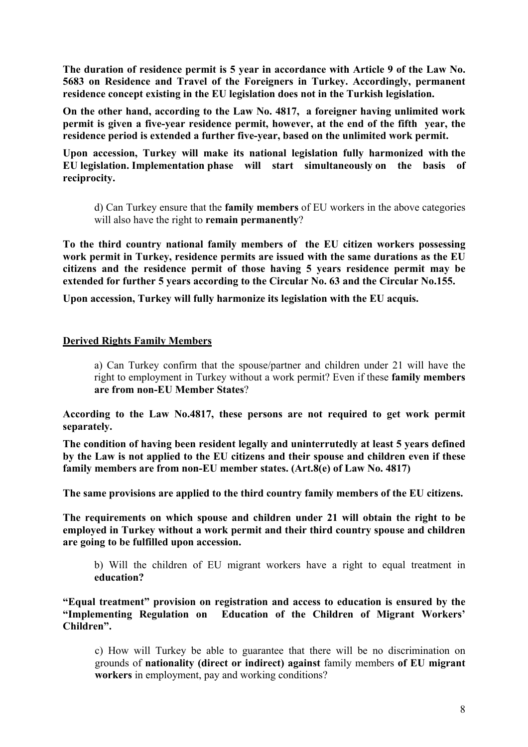**The duration of residence permit is 5 year in accordance with Article 9 of the Law No. 5683 on Residence and Travel of the Foreigners in Turkey. Accordingly, permanent residence concept existing in the EU legislation does not in the Turkish legislation.** 

**On the other hand, according to the Law No. 4817, a foreigner having unlimited work permit is given a five-year residence permit, however, at the end of the fifth year, the residence period is extended a further five-year, based on the unlimited work permit.** 

**Upon accession, Turkey will make its national legislation fully harmonized with the EU legislation. Implementation phase will start simultaneously on the basis of reciprocity.** 

d) Can Turkey ensure that the **family members** of EU workers in the above categories will also have the right to **remain permanently**?

**To the third country national family members of the EU citizen workers possessing work permit in Turkey, residence permits are issued with the same durations as the EU citizens and the residence permit of those having 5 years residence permit may be extended for further 5 years according to the Circular No. 63 and the Circular No.155.** 

**Upon accession, Turkey will fully harmonize its legislation with the EU acquis.** 

#### **Derived Rights Family Members**

a) Can Turkey confirm that the spouse/partner and children under 21 will have the right to employment in Turkey without a work permit? Even if these **family members are from non-EU Member States**?

**According to the Law No.4817, these persons are not required to get work permit separately.** 

**The condition of having been resident legally and uninterrutedly at least 5 years defined by the Law is not applied to the EU citizens and their spouse and children even if these family members are from non-EU member states. (Art.8(e) of Law No. 4817)** 

**The same provisions are applied to the third country family members of the EU citizens.** 

**The requirements on which spouse and children under 21 will obtain the right to be employed in Turkey without a work permit and their third country spouse and children are going to be fulfilled upon accession.** 

b) Will the children of EU migrant workers have a right to equal treatment in **education?** 

**"Equal treatment" provision on registration and access to education is ensured by the "Implementing Regulation on Education of the Children of Migrant Workers' Children".** 

c) How will Turkey be able to guarantee that there will be no discrimination on grounds of **nationality (direct or indirect) against** family members **of EU migrant workers** in employment, pay and working conditions?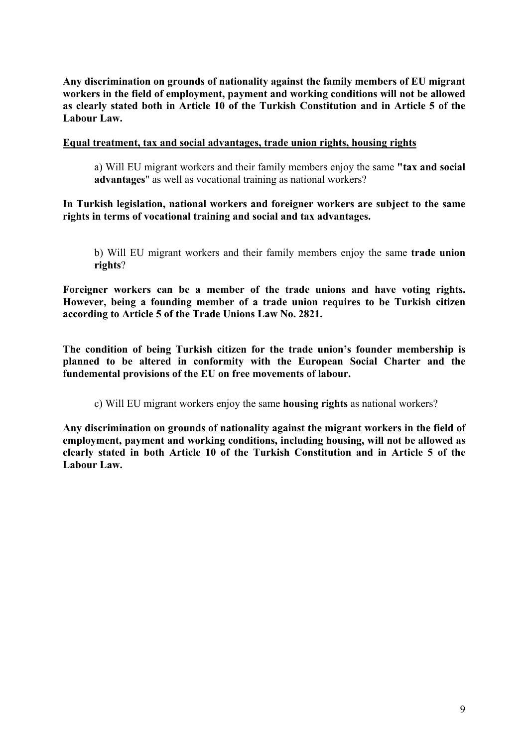**Any discrimination on grounds of nationality against the family members of EU migrant workers in the field of employment, payment and working conditions will not be allowed as clearly stated both in Article 10 of the Turkish Constitution and in Article 5 of the Labour Law.** 

#### **Equal treatment, tax and social advantages, trade union rights, housing rights**

a) Will EU migrant workers and their family members enjoy the same **"tax and social advantages**" as well as vocational training as national workers?

#### **In Turkish legislation, national workers and foreigner workers are subject to the same rights in terms of vocational training and social and tax advantages.**

b) Will EU migrant workers and their family members enjoy the same **trade union rights**?

**Foreigner workers can be a member of the trade unions and have voting rights. However, being a founding member of a trade union requires to be Turkish citizen according to Article 5 of the Trade Unions Law No. 2821.** 

**The condition of being Turkish citizen for the trade union's founder membership is planned to be altered in conformity with the European Social Charter and the fundemental provisions of the EU on free movements of labour.** 

c) Will EU migrant workers enjoy the same **housing rights** as national workers?

**Any discrimination on grounds of nationality against the migrant workers in the field of employment, payment and working conditions, including housing, will not be allowed as clearly stated in both Article 10 of the Turkish Constitution and in Article 5 of the Labour Law.**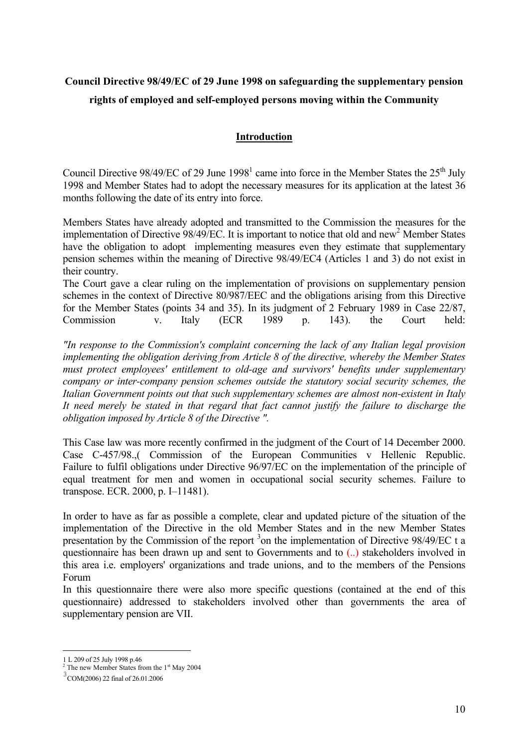# **Council Directive 98/49/EC of 29 June 1998 on safeguarding the supplementary pension rights of employed and self-employed persons moving within the Community**

#### **Introduction**

Council Directive 98/49/EC of 29 June  $1998<sup>1</sup>$  came into force in the Member States the 25<sup>th</sup> July 1998 and Member States had to adopt the necessary measures for its application at the latest 36 months following the date of its entry into force.

Members States have already adopted and transmitted to the Commission the measures for the implementation of Directive  $98/49/EC$ . It is important to notice that old and new<sup>2</sup> Member States have the obligation to adopt implementing measures even they estimate that supplementary pension schemes within the meaning of Directive 98/49/EC4 (Articles 1 and 3) do not exist in their country.

The Court gave a clear ruling on the implementation of provisions on supplementary pension schemes in the context of Directive 80/987/EEC and the obligations arising from this Directive for the Member States (points 34 and 35). In its judgment of 2 February 1989 in Case 22/87, Commission v. Italy (ECR 1989 p. 143). the Court held:

*"In response to the Commission's complaint concerning the lack of any Italian legal provision implementing the obligation deriving from Article 8 of the directive, whereby the Member States must protect employees' entitlement to old-age and survivors' benefits under supplementary company or inter-company pension schemes outside the statutory social security schemes, the Italian Government points out that such supplementary schemes are almost non-existent in Italy It need merely be stated in that regard that fact cannot justify the failure to discharge the obligation imposed by Article 8 of the Directive ".*

This Case law was more recently confirmed in the judgment of the Court of 14 December 2000. Case C-457/98.,( Commission of the European Communities v Hellenic Republic. Failure to fulfil obligations under Directive 96/97/EC on the implementation of the principle of equal treatment for men and women in occupational social security schemes. Failure to transpose. ECR. 2000, p. I–11481).

In order to have as far as possible a complete, clear and updated picture of the situation of the implementation of the Directive in the old Member States and in the new Member States presentation by the Commission of the report  $3$  on the implementation of Directive 98/49/EC t a questionnaire has been drawn up and sent to Governments and to (..) stakeholders involved in this area i.e. employers' organizations and trade unions, and to the members of the Pensions Forum

In this questionnaire there were also more specific questions (contained at the end of this questionnaire) addressed to stakeholders involved other than governments the area of supplementary pension are VII.

<sup>1</sup> 1 L 209 of 25 July 1998 p.46

 $2$  The new Member States from the  $1<sup>st</sup>$  May 2004

<sup>3</sup> COM(2006) 22 final of 26.01.2006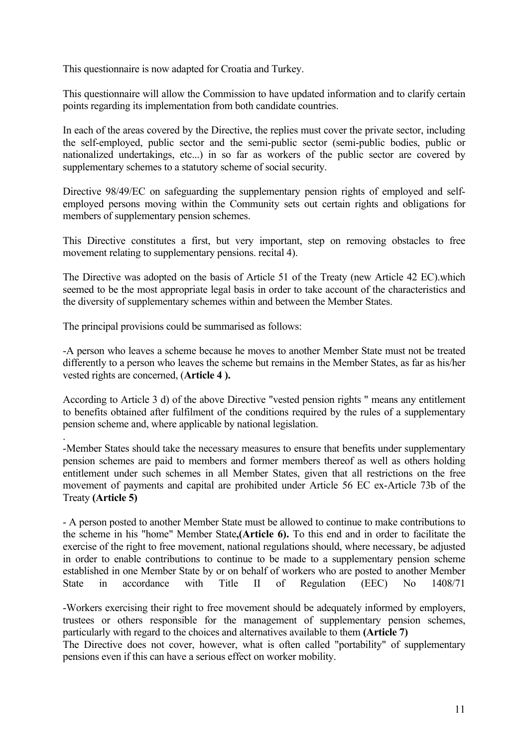This questionnaire is now adapted for Croatia and Turkey.

This questionnaire will allow the Commission to have updated information and to clarify certain points regarding its implementation from both candidate countries.

In each of the areas covered by the Directive, the replies must cover the private sector, including the self-employed, public sector and the semi-public sector (semi-public bodies, public or nationalized undertakings, etc...) in so far as workers of the public sector are covered by supplementary schemes to a statutory scheme of social security.

Directive 98/49/EC on safeguarding the supplementary pension rights of employed and selfemployed persons moving within the Community sets out certain rights and obligations for members of supplementary pension schemes.

This Directive constitutes a first, but very important, step on removing obstacles to free movement relating to supplementary pensions. recital 4).

The Directive was adopted on the basis of Article 51 of the Treaty (new Article 42 EC).which seemed to be the most appropriate legal basis in order to take account of the characteristics and the diversity of supplementary schemes within and between the Member States.

The principal provisions could be summarised as follows:

.

-A person who leaves a scheme because he moves to another Member State must not be treated differently to a person who leaves the scheme but remains in the Member States, as far as his/her vested rights are concerned, (**Article 4 ).** 

According to Article 3 d) of the above Directive "vested pension rights " means any entitlement to benefits obtained after fulfilment of the conditions required by the rules of a supplementary pension scheme and, where applicable by national legislation.

-Member States should take the necessary measures to ensure that benefits under supplementary pension schemes are paid to members and former members thereof as well as others holding entitlement under such schemes in all Member States, given that all restrictions on the free movement of payments and capital are prohibited under Article 56 EC ex-Article 73b of the Treaty **(Article 5)**

- A person posted to another Member State must be allowed to continue to make contributions to the scheme in his "home" Member State**,(Article 6).** To this end and in order to facilitate the exercise of the right to free movement, national regulations should, where necessary, be adjusted in order to enable contributions to continue to be made to a supplementary pension scheme established in one Member State by or on behalf of workers who are posted to another Member State in accordance with Title II of Regulation (EEC) No 1408/71

-Workers exercising their right to free movement should be adequately informed by employers, trustees or others responsible for the management of supplementary pension schemes, particularly with regard to the choices and alternatives available to them **(Article 7)**

The Directive does not cover, however, what is often called "portability" of supplementary pensions even if this can have a serious effect on worker mobility.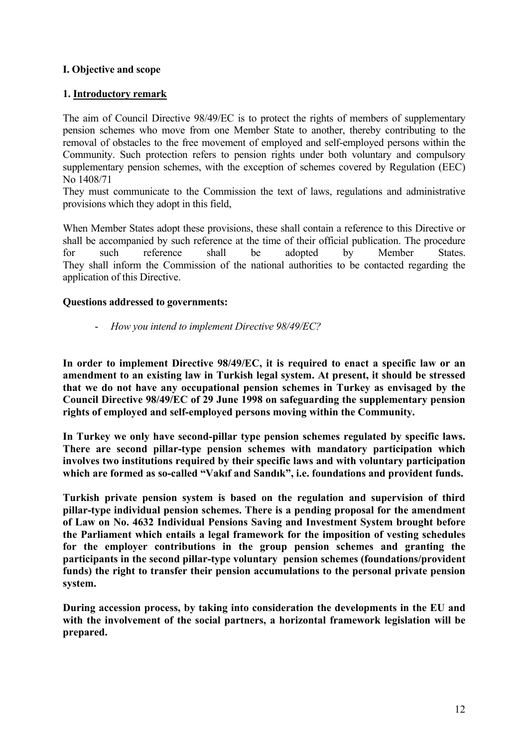### **I. Objective and scope**

### **1. Introductory remark**

The aim of Council Directive 98/49/EC is to protect the rights of members of supplementary pension schemes who move from one Member State to another, thereby contributing to the removal of obstacles to the free movement of employed and self-employed persons within the Community. Such protection refers to pension rights under both voluntary and compulsory supplementary pension schemes, with the exception of schemes covered by Regulation (EEC) No 1408/71

They must communicate to the Commission the text of laws, regulations and administrative provisions which they adopt in this field,

When Member States adopt these provisions, these shall contain a reference to this Directive or shall be accompanied by such reference at the time of their official publication. The procedure for such reference shall be adopted by Member States. They shall inform the Commission of the national authorities to be contacted regarding the application of this Directive.

#### **Questions addressed to governments:**

- *How you intend to implement Directive 98/49/EC?* 

**In order to implement Directive 98/49/EC, it is required to enact a specific law or an amendment to an existing law in Turkish legal system. At present, it should be stressed that we do not have any occupational pension schemes in Turkey as envisaged by the Council Directive 98/49/EC of 29 June 1998 on safeguarding the supplementary pension rights of employed and self-employed persons moving within the Community.** 

**In Turkey we only have second-pillar type pension schemes regulated by specific laws. There are second pillar-type pension schemes with mandatory participation which involves two institutions required by their specific laws and with voluntary participation which are formed as so-called "Vakıf and Sandık", i.e. foundations and provident funds.** 

**Turkish private pension system is based on the regulation and supervision of third pillar-type individual pension schemes. There is a pending proposal for the amendment of Law on No. 4632 Individual Pensions Saving and Investment System brought before the Parliament which entails a legal framework for the imposition of vesting schedules for the employer contributions in the group pension schemes and granting the participants in the second pillar-type voluntary pension schemes (foundations/provident funds) the right to transfer their pension accumulations to the personal private pension system.** 

**During accession process, by taking into consideration the developments in the EU and with the involvement of the social partners, a horizontal framework legislation will be prepared.**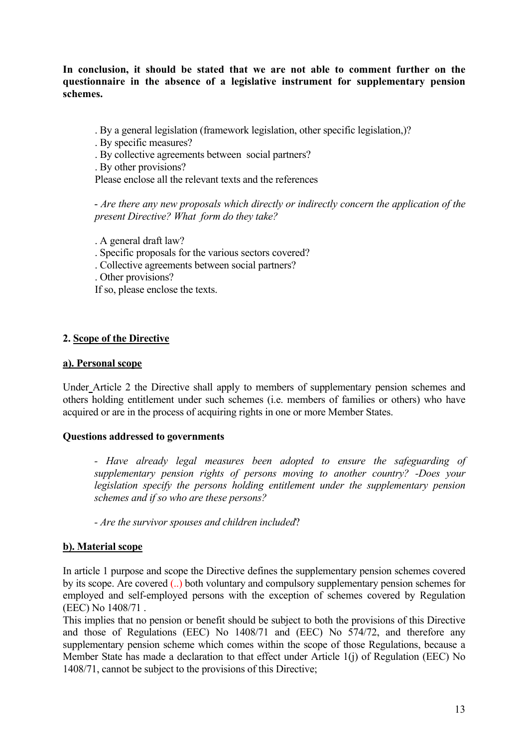**In conclusion, it should be stated that we are not able to comment further on the questionnaire in the absence of a legislative instrument for supplementary pension schemes.** 

. By a general legislation (framework legislation, other specific legislation,)?

. By specific measures?

. By collective agreements between social partners?

. By other provisions?

Please enclose all the relevant texts and the references

- *Are there any new proposals which directly or indirectly concern the application of the present Directive? What form do they take?*

. A general draft law?

. Specific proposals for the various sectors covered?

. Collective agreements between social partners?

. Other provisions?

If so, please enclose the texts.

### **2. Scope of the Directive**

#### **a). Personal scope**

Under Article 2 the Directive shall apply to members of supplementary pension schemes and others holding entitlement under such schemes (i.e. members of families or others) who have acquired or are in the process of acquiring rights in one or more Member States.

#### **Questions addressed to governments**

*- Have already legal measures been adopted to ensure the safeguarding of supplementary pension rights of persons moving to another country? -Does your legislation specify the persons holding entitlement under the supplementary pension schemes and if so who are these persons?* 

 *- Are the survivor spouses and children included*?

### **b). Material scope**

In article 1 purpose and scope the Directive defines the supplementary pension schemes covered by its scope. Are covered (..) both voluntary and compulsory supplementary pension schemes for employed and self-employed persons with the exception of schemes covered by Regulation (EEC) No 1408/71 .

This implies that no pension or benefit should be subject to both the provisions of this Directive and those of Regulations (EEC) No 1408/71 and (EEC) No 574/72, and therefore any supplementary pension scheme which comes within the scope of those Regulations, because a Member State has made a declaration to that effect under Article 1(j) of Regulation (EEC) No 1408/71, cannot be subject to the provisions of this Directive;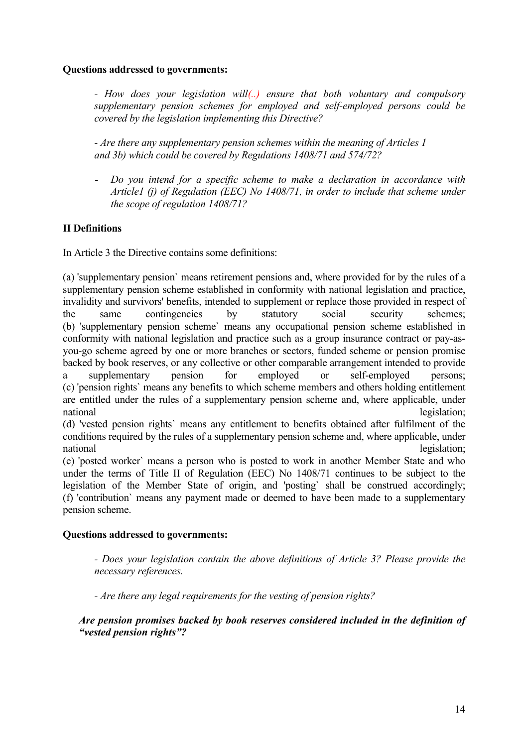#### **Questions addressed to governments:**

*- How does your legislation will(..) ensure that both voluntary and compulsory supplementary pension schemes for employed and self-employed persons could be covered by the legislation implementing this Directive?* 

 *- Are there any supplementary pension schemes within the meaning of Articles 1 and 3b) which could be covered by Regulations 1408/71 and 574/72?* 

- *Do you intend for a specific scheme to make a declaration in accordance with Article1 (j) of Regulation (EEC) No 1408/71, in order to include that scheme under the scope of regulation 1408/71?* 

# **II Definitions**

In Article 3 the Directive contains some definitions:

(a) 'supplementary pension` means retirement pensions and, where provided for by the rules of a supplementary pension scheme established in conformity with national legislation and practice, invalidity and survivors' benefits, intended to supplement or replace those provided in respect of the same contingencies by statutory social security schemes; (b) 'supplementary pension scheme` means any occupational pension scheme established in conformity with national legislation and practice such as a group insurance contract or pay-asyou-go scheme agreed by one or more branches or sectors, funded scheme or pension promise backed by book reserves, or any collective or other comparable arrangement intended to provide a supplementary pension for employed or self-employed persons; (c) 'pension rights` means any benefits to which scheme members and others holding entitlement are entitled under the rules of a supplementary pension scheme and, where applicable, under national legislation;

(d) 'vested pension rights` means any entitlement to benefits obtained after fulfilment of the conditions required by the rules of a supplementary pension scheme and, where applicable, under national legislation;

(e) 'posted worker` means a person who is posted to work in another Member State and who under the terms of Title II of Regulation (EEC) No 1408/71 continues to be subject to the legislation of the Member State of origin, and 'posting` shall be construed accordingly; (f) 'contribution` means any payment made or deemed to have been made to a supplementary pension scheme.

### **Questions addressed to governments:**

 *- Does your legislation contain the above definitions of Article 3? Please provide the necessary references.* 

 *- Are there any legal requirements for the vesting of pension rights?* 

*Are pension promises backed by book reserves considered included in the definition of "vested pension rights"?*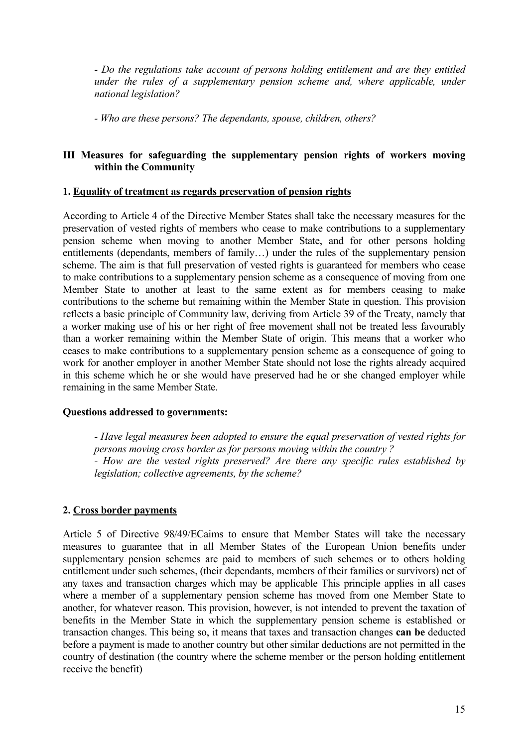*- Do the regulations take account of persons holding entitlement and are they entitled under the rules of a supplementary pension scheme and, where applicable, under national legislation?* 

 *- Who are these persons? The dependants, spouse, children, others?* 

#### **III Measures for safeguarding the supplementary pension rights of workers moving within the Community**

#### **1. Equality of treatment as regards preservation of pension rights**

According to Article 4 of the Directive Member States shall take the necessary measures for the preservation of vested rights of members who cease to make contributions to a supplementary pension scheme when moving to another Member State, and for other persons holding entitlements (dependants, members of family…) under the rules of the supplementary pension scheme. The aim is that full preservation of vested rights is guaranteed for members who cease to make contributions to a supplementary pension scheme as a consequence of moving from one Member State to another at least to the same extent as for members ceasing to make contributions to the scheme but remaining within the Member State in question. This provision reflects a basic principle of Community law, deriving from Article 39 of the Treaty, namely that a worker making use of his or her right of free movement shall not be treated less favourably than a worker remaining within the Member State of origin. This means that a worker who ceases to make contributions to a supplementary pension scheme as a consequence of going to work for another employer in another Member State should not lose the rights already acquired in this scheme which he or she would have preserved had he or she changed employer while remaining in the same Member State.

#### **Questions addressed to governments:**

 *- Have legal measures been adopted to ensure the equal preservation of vested rights for persons moving cross border as for persons moving within the country ? - How are the vested rights preserved? Are there any specific rules established by legislation; collective agreements, by the scheme?* 

### **2. Cross border payments**

Article 5 of Directive 98/49/ECaims to ensure that Member States will take the necessary measures to guarantee that in all Member States of the European Union benefits under supplementary pension schemes are paid to members of such schemes or to others holding entitlement under such schemes, (their dependants, members of their families or survivors) net of any taxes and transaction charges which may be applicable This principle applies in all cases where a member of a supplementary pension scheme has moved from one Member State to another, for whatever reason. This provision, however, is not intended to prevent the taxation of benefits in the Member State in which the supplementary pension scheme is established or transaction changes. This being so, it means that taxes and transaction changes **can be** deducted before a payment is made to another country but other similar deductions are not permitted in the country of destination (the country where the scheme member or the person holding entitlement receive the benefit)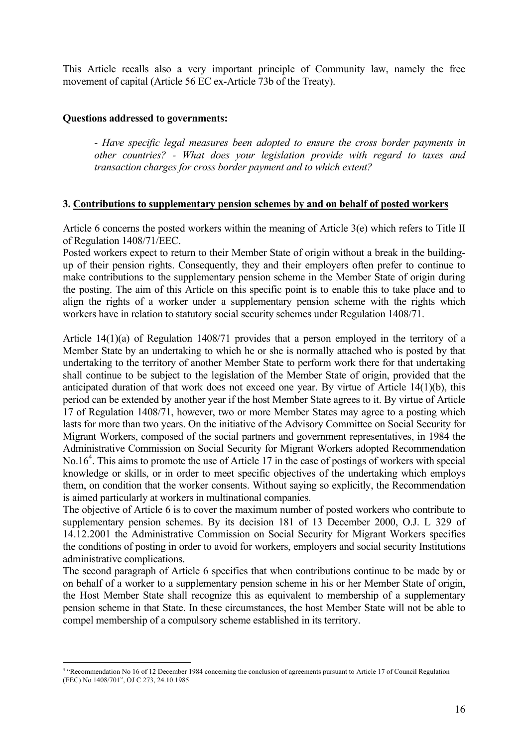This Article recalls also a very important principle of Community law, namely the free movement of capital (Article 56 EC ex-Article 73b of the Treaty).

#### **Questions addressed to governments:**

1

*- Have specific legal measures been adopted to ensure the cross border payments in other countries? - What does your legislation provide with regard to taxes and transaction charges for cross border payment and to which extent?* 

#### **3. Contributions to supplementary pension schemes by and on behalf of posted workers**

Article 6 concerns the posted workers within the meaning of Article 3(e) which refers to Title II of Regulation 1408/71/EEC.

Posted workers expect to return to their Member State of origin without a break in the buildingup of their pension rights. Consequently, they and their employers often prefer to continue to make contributions to the supplementary pension scheme in the Member State of origin during the posting. The aim of this Article on this specific point is to enable this to take place and to align the rights of a worker under a supplementary pension scheme with the rights which workers have in relation to statutory social security schemes under Regulation 1408/71.

Article 14(1)(a) of Regulation 1408/71 provides that a person employed in the territory of a Member State by an undertaking to which he or she is normally attached who is posted by that undertaking to the territory of another Member State to perform work there for that undertaking shall continue to be subject to the legislation of the Member State of origin, provided that the anticipated duration of that work does not exceed one year. By virtue of Article 14(1)(b), this period can be extended by another year if the host Member State agrees to it. By virtue of Article 17 of Regulation 1408/71, however, two or more Member States may agree to a posting which lasts for more than two years. On the initiative of the Advisory Committee on Social Security for Migrant Workers, composed of the social partners and government representatives, in 1984 the Administrative Commission on Social Security for Migrant Workers adopted Recommendation No.16<sup>4</sup>. This aims to promote the use of Article 17 in the case of postings of workers with special knowledge or skills, or in order to meet specific objectives of the undertaking which employs them, on condition that the worker consents. Without saying so explicitly, the Recommendation is aimed particularly at workers in multinational companies.

The objective of Article 6 is to cover the maximum number of posted workers who contribute to supplementary pension schemes. By its decision 181 of 13 December 2000, O.J. L 329 of 14.12.2001 the Administrative Commission on Social Security for Migrant Workers specifies the conditions of posting in order to avoid for workers, employers and social security Institutions administrative complications.

The second paragraph of Article 6 specifies that when contributions continue to be made by or on behalf of a worker to a supplementary pension scheme in his or her Member State of origin, the Host Member State shall recognize this as equivalent to membership of a supplementary pension scheme in that State. In these circumstances, the host Member State will not be able to compel membership of a compulsory scheme established in its territory.

<sup>4</sup> "Recommendation No 16 of 12 December 1984 concerning the conclusion of agreements pursuant to Article 17 of Council Regulation (EEC) No 1408/701", OJ C 273, 24.10.1985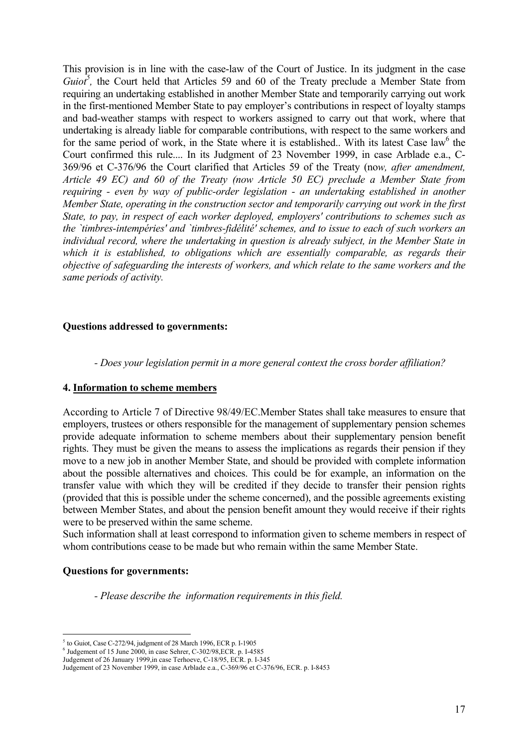This provision is in line with the case-law of the Court of Justice. In its judgment in the case *Guiot*<sup>5</sup>, the Court held that Articles 59 and 60 of the Treaty preclude a Member State from requiring an undertaking established in another Member State and temporarily carrying out work in the first-mentioned Member State to pay employer's contributions in respect of loyalty stamps and bad-weather stamps with respect to workers assigned to carry out that work, where that undertaking is already liable for comparable contributions, with respect to the same workers and for the same period of work, in the State where it is established.. With its latest Case law<sup>6</sup> the Court confirmed this rule.... In its Judgment of 23 November 1999, in case Arblade e.a., C-369/96 et C-376/96 the Court clarified that Articles 59 of the Treaty (no*w, after amendment, Article 49 EC) and 60 of the Treaty (now Article 50 EC) preclude a Member State from requiring - even by way of public-order legislation - an undertaking established in another Member State, operating in the construction sector and temporarily carrying out work in the first State, to pay, in respect of each worker deployed, employers' contributions to schemes such as the `timbres-intempéries' and `timbres-fidélité' schemes, and to issue to each of such workers an individual record, where the undertaking in question is already subject, in the Member State in*  which it is established, to obligations which are essentially comparable, as regards their *objective of safeguarding the interests of workers, and which relate to the same workers and the same periods of activity.* 

#### **Questions addressed to governments:**

*- Does your legislation permit in a more general context the cross border affiliation?* 

#### **4. Information to scheme members**

According to Article 7 of Directive 98/49/EC.Member States shall take measures to ensure that employers, trustees or others responsible for the management of supplementary pension schemes provide adequate information to scheme members about their supplementary pension benefit rights. They must be given the means to assess the implications as regards their pension if they move to a new job in another Member State, and should be provided with complete information about the possible alternatives and choices. This could be for example, an information on the transfer value with which they will be credited if they decide to transfer their pension rights (provided that this is possible under the scheme concerned), and the possible agreements existing between Member States, and about the pension benefit amount they would receive if their rights were to be preserved within the same scheme.

Such information shall at least correspond to information given to scheme members in respect of whom contributions cease to be made but who remain within the same Member State.

#### **Questions for governments:**

<u>.</u>

*- Please describe the information requirements in this field.* 

<sup>5</sup> to Guiot, Case C-272/94, judgment of 28 March 1996, ECR p. I-1905

 $6$  Judgement of 15 June 2000, in case Sehrer, C-302/98, ECR. p. I-4585

Judgement of 26 January 1999,in case Terhoeve, C-18/95, ECR. p. I-345

Judgement of 23 November 1999, in case Arblade e.a., C-369/96 et C-376/96, ECR. p. I-8453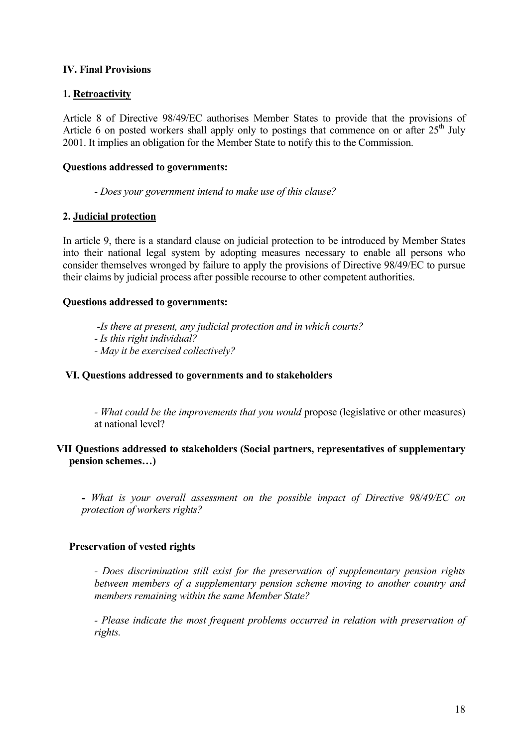### **IV. Final Provisions**

# **1. Retroactivity**

Article 8 of Directive 98/49/EC authorises Member States to provide that the provisions of Article 6 on posted workers shall apply only to postings that commence on or after  $25<sup>th</sup>$  July 2001. It implies an obligation for the Member State to notify this to the Commission.

### **Questions addressed to governments:**

*- Does your government intend to make use of this clause?* 

### **2. Judicial protection**

In article 9, there is a standard clause on judicial protection to be introduced by Member States into their national legal system by adopting measures necessary to enable all persons who consider themselves wronged by failure to apply the provisions of Directive 98/49/EC to pursue their claims by judicial process after possible recourse to other competent authorities.

#### **Questions addressed to governments:**

- *-Is there at present, any judicial protection and in which courts?*
- *Is this right individual?*
- *May it be exercised collectively?*

#### **VI. Questions addressed to governments and to stakeholders**

*- What could be the improvements that you would* propose (legislative or other measures) at national level?

#### **VII Questions addressed to stakeholders (Social partners, representatives of supplementary pension schemes…)**

*- What is your overall assessment on the possible impact of Directive 98/49/EC on protection of workers rights?*

### **Preservation of vested rights**

*- Does discrimination still exist for the preservation of supplementary pension rights between members of a supplementary pension scheme moving to another country and members remaining within the same Member State?* 

*- Please indicate the most frequent problems occurred in relation with preservation of rights.*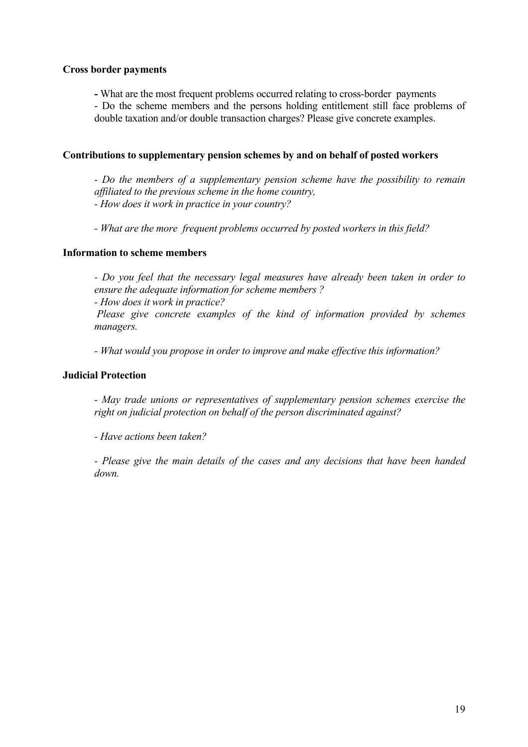#### **Cross border payments**

**-** What are the most frequent problems occurred relating to cross-border payments

- Do the scheme members and the persons holding entitlement still face problems of double taxation and/or double transaction charges? Please give concrete examples.

#### **Contributions to supplementary pension schemes by and on behalf of posted workers**

*- Do the members of a supplementary pension scheme have the possibility to remain affiliated to the previous scheme in the home country, - How does it work in practice in your country?* 

*- What are the more frequent problems occurred by posted workers in this field?* 

#### **Information to scheme members**

*- Do you feel that the necessary legal measures have already been taken in order to ensure the adequate information for scheme members ?* 

*- How does it work in practice?* 

 *Please give concrete examples of the kind of information provided by schemes managers.* 

*- What would you propose in order to improve and make effective this information?* 

#### **Judicial Protection**

*- May trade unions or representatives of supplementary pension schemes exercise the right on judicial protection on behalf of the person discriminated against?* 

*- Have actions been taken?* 

*- Please give the main details of the cases and any decisions that have been handed down.*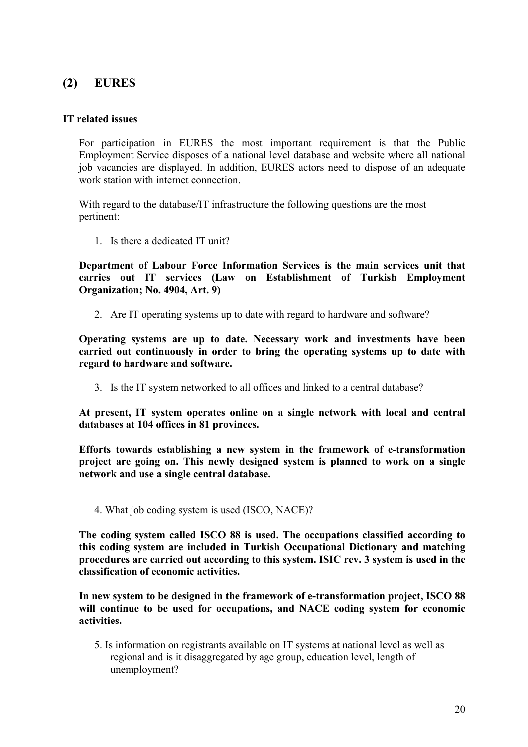# **(2) EURES**

# **IT related issues**

For participation in EURES the most important requirement is that the Public Employment Service disposes of a national level database and website where all national job vacancies are displayed. In addition, EURES actors need to dispose of an adequate work station with internet connection.

With regard to the database/IT infrastructure the following questions are the most pertinent:

1. Is there a dedicated IT unit?

**Department of Labour Force Information Services is the main services unit that carries out IT services (Law on Establishment of Turkish Employment Organization; No. 4904, Art. 9)** 

2. Are IT operating systems up to date with regard to hardware and software?

**Operating systems are up to date. Necessary work and investments have been carried out continuously in order to bring the operating systems up to date with regard to hardware and software.** 

3. Is the IT system networked to all offices and linked to a central database?

**At present, IT system operates online on a single network with local and central databases at 104 offices in 81 provinces.** 

**Efforts towards establishing a new system in the framework of e-transformation project are going on. This newly designed system is planned to work on a single network and use a single central database.** 

4. What job coding system is used (ISCO, NACE)?

**The coding system called ISCO 88 is used. The occupations classified according to this coding system are included in Turkish Occupational Dictionary and matching procedures are carried out according to this system. ISIC rev. 3 system is used in the classification of economic activities.** 

**In new system to be designed in the framework of e-transformation project, ISCO 88 will continue to be used for occupations, and NACE coding system for economic activities.** 

5. Is information on registrants available on IT systems at national level as well as regional and is it disaggregated by age group, education level, length of unemployment?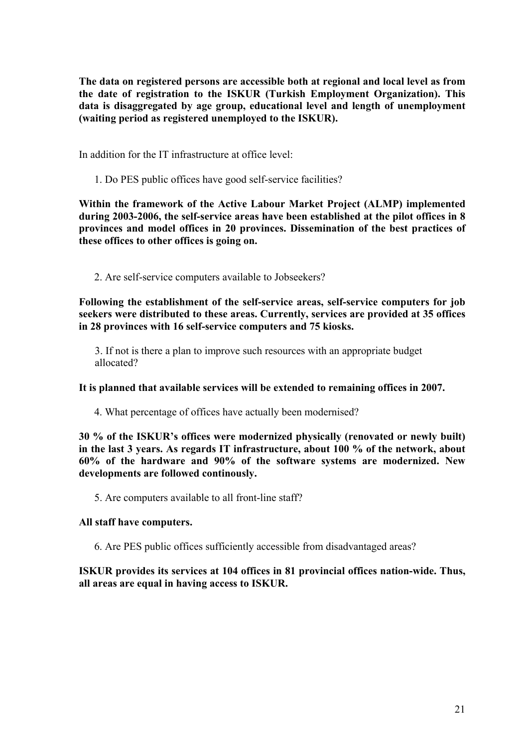**The data on registered persons are accessible both at regional and local level as from the date of registration to the ISKUR (Turkish Employment Organization). This data is disaggregated by age group, educational level and length of unemployment (waiting period as registered unemployed to the ISKUR).** 

In addition for the IT infrastructure at office level:

1. Do PES public offices have good self-service facilities?

**Within the framework of the Active Labour Market Project (ALMP) implemented during 2003-2006, the self-service areas have been established at the pilot offices in 8 provinces and model offices in 20 provinces. Dissemination of the best practices of these offices to other offices is going on.** 

2. Are self-service computers available to Jobseekers?

**Following the establishment of the self-service areas, self-service computers for job seekers were distributed to these areas. Currently, services are provided at 35 offices in 28 provinces with 16 self-service computers and 75 kiosks.** 

3. If not is there a plan to improve such resources with an appropriate budget allocated?

#### **It is planned that available services will be extended to remaining offices in 2007.**

4. What percentage of offices have actually been modernised?

**30 % of the ISKUR's offices were modernized physically (renovated or newly built) in the last 3 years. As regards IT infrastructure, about 100 % of the network, about 60% of the hardware and 90% of the software systems are modernized. New developments are followed continously.** 

5. Are computers available to all front-line staff?

#### **All staff have computers.**

6. Are PES public offices sufficiently accessible from disadvantaged areas?

**ISKUR provides its services at 104 offices in 81 provincial offices nation-wide. Thus, all areas are equal in having access to ISKUR.**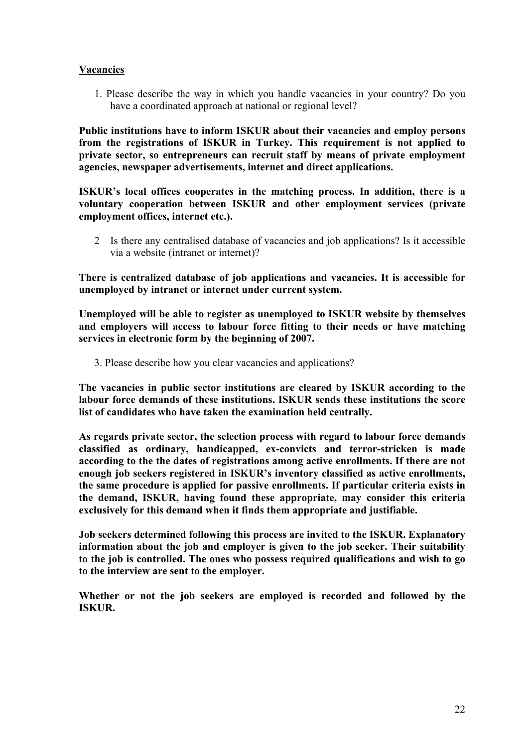#### **Vacancies**

1. Please describe the way in which you handle vacancies in your country? Do you have a coordinated approach at national or regional level?

**Public institutions have to inform ISKUR about their vacancies and employ persons from the registrations of ISKUR in Turkey. This requirement is not applied to private sector, so entrepreneurs can recruit staff by means of private employment agencies, newspaper advertisements, internet and direct applications.** 

**ISKUR's local offices cooperates in the matching process. In addition, there is a voluntary cooperation between ISKUR and other employment services (private employment offices, internet etc.).** 

2 Is there any centralised database of vacancies and job applications? Is it accessible via a website (intranet or internet)?

**There is centralized database of job applications and vacancies. It is accessible for unemployed by intranet or internet under current system.** 

**Unemployed will be able to register as unemployed to ISKUR website by themselves and employers will access to labour force fitting to their needs or have matching services in electronic form by the beginning of 2007.** 

3. Please describe how you clear vacancies and applications?

**The vacancies in public sector institutions are cleared by ISKUR according to the labour force demands of these institutions. ISKUR sends these institutions the score list of candidates who have taken the examination held centrally.** 

**As regards private sector, the selection process with regard to labour force demands classified as ordinary, handicapped, ex-convicts and terror-stricken is made according to the the dates of registrations among active enrollments. If there are not enough job seekers registered in ISKUR's inventory classified as active enrollments, the same procedure is applied for passive enrollments. If particular criteria exists in the demand, ISKUR, having found these appropriate, may consider this criteria exclusively for this demand when it finds them appropriate and justifiable.** 

**Job seekers determined following this process are invited to the ISKUR. Explanatory information about the job and employer is given to the job seeker. Their suitability to the job is controlled. The ones who possess required qualifications and wish to go to the interview are sent to the employer.** 

**Whether or not the job seekers are employed is recorded and followed by the ISKUR.**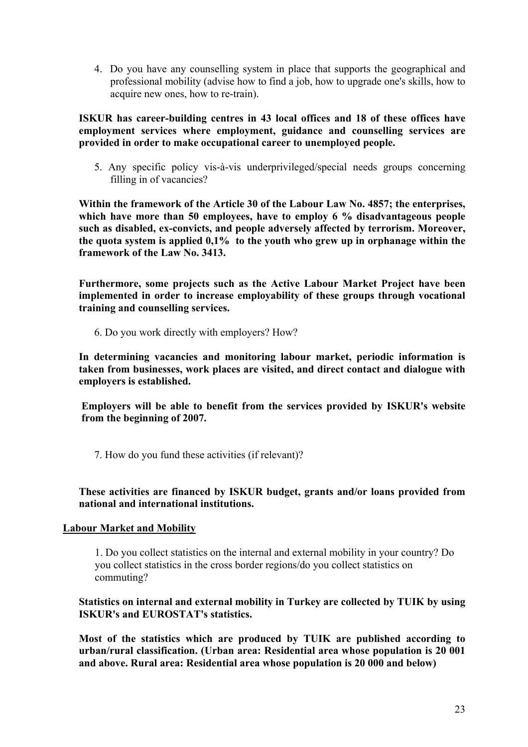4. Do you have any counselling system in place that supports the geographical and professional mobility (advise how to find a job, how to upgrade one's skills, how to acquire new ones, how to re-train).

**ISKUR has career-building centres in 43 local offices and 18 of these offices have employment services where employment, guidance and counselling services are provided in order to make occupational career to unemployed people.** 

5. Any specific policy vis-à-vis underprivileged/special needs groups concerning filling in of vacancies?

**Within the framework of the Article 30 of the Labour Law No. 4857; the enterprises, which have more than 50 employees, have to employ 6 % disadvantageous people such as disabled, ex-convicts, and people adversely affected by terrorism. Moreover, the quota system is applied 0,1% to the youth who grew up in orphanage within the framework of the Law No. 3413.** 

**Furthermore, some projects such as the Active Labour Market Project have been implemented in order to increase employability of these groups through vocational training and counselling services.** 

6. Do you work directly with employers? How?

**In determining vacancies and monitoring labour market, periodic information is taken from businesses, work places are visited, and direct contact and dialogue with employers is established.** 

**Employers will be able to benefit from the services provided by ISKUR's website from the beginning of 2007.** 

7. How do you fund these activities (if relevant)?

### **These activities are financed by ISKUR budget, grants and/or loans provided from national and international institutions.**

### **Labour Market and Mobility**

1. Do you collect statistics on the internal and external mobility in your country? Do you collect statistics in the cross border regions/do you collect statistics on commuting?

**Statistics on internal and external mobility in Turkey are collected by TUIK by using ISKUR's and EUROSTAT's statistics.** 

**Most of the statistics which are produced by TUIK are published according to urban/rural classification. (Urban area: Residential area whose population is 20 001 and above. Rural area: Residential area whose population is 20 000 and below)**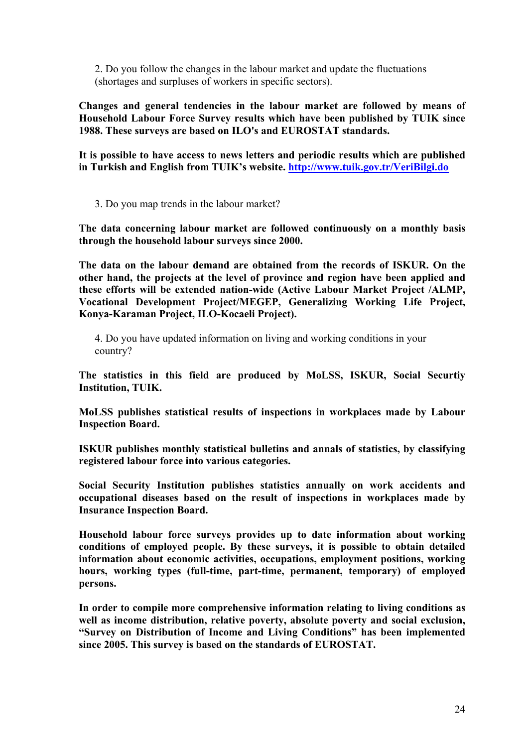2. Do you follow the changes in the labour market and update the fluctuations (shortages and surpluses of workers in specific sectors).

**Changes and general tendencies in the labour market are followed by means of Household Labour Force Survey results which have been published by TUIK since 1988. These surveys are based on ILO's and EUROSTAT standards.** 

**It is possible to have access to news letters and periodic results which are published in Turkish and English from TUIK's website. http://www.tuik.gov.tr/VeriBilgi.do**

3. Do you map trends in the labour market?

**The data concerning labour market are followed continuously on a monthly basis through the household labour surveys since 2000.** 

**The data on the labour demand are obtained from the records of ISKUR. On the other hand, the projects at the level of province and region have been applied and these efforts will be extended nation-wide (Active Labour Market Project /ALMP, Vocational Development Project/MEGEP, Generalizing Working Life Project, Konya-Karaman Project, ILO-Kocaeli Project).** 

4. Do you have updated information on living and working conditions in your country?

**The statistics in this field are produced by MoLSS, ISKUR, Social Securtiy Institution, TUIK.** 

**MoLSS publishes statistical results of inspections in workplaces made by Labour Inspection Board.** 

**ISKUR publishes monthly statistical bulletins and annals of statistics, by classifying registered labour force into various categories.** 

**Social Security Institution publishes statistics annually on work accidents and occupational diseases based on the result of inspections in workplaces made by Insurance Inspection Board.** 

**Household labour force surveys provides up to date information about working conditions of employed people. By these surveys, it is possible to obtain detailed information about economic activities, occupations, employment positions, working hours, working types (full-time, part-time, permanent, temporary) of employed persons.** 

**In order to compile more comprehensive information relating to living conditions as well as income distribution, relative poverty, absolute poverty and social exclusion, "Survey on Distribution of Income and Living Conditions" has been implemented since 2005. This survey is based on the standards of EUROSTAT.**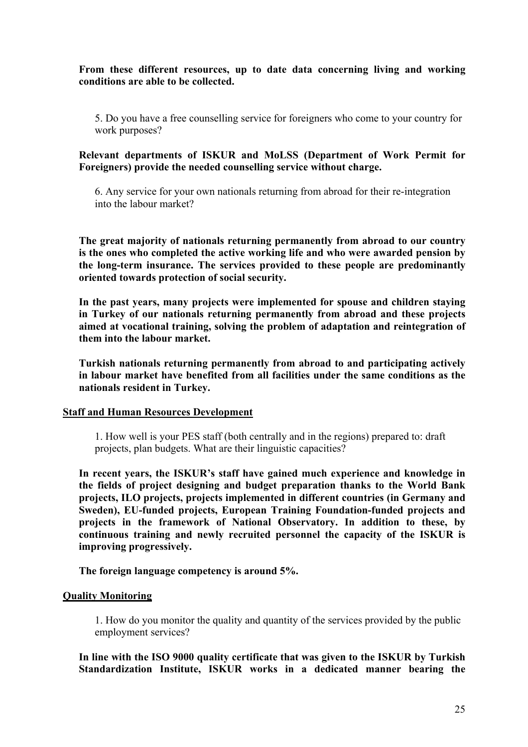**From these different resources, up to date data concerning living and working conditions are able to be collected.** 

5. Do you have a free counselling service for foreigners who come to your country for work purposes?

**Relevant departments of ISKUR and MoLSS (Department of Work Permit for Foreigners) provide the needed counselling service without charge.** 

6. Any service for your own nationals returning from abroad for their re-integration into the labour market?

**The great majority of nationals returning permanently from abroad to our country is the ones who completed the active working life and who were awarded pension by the long-term insurance. The services provided to these people are predominantly oriented towards protection of social security.** 

**In the past years, many projects were implemented for spouse and children staying in Turkey of our nationals returning permanently from abroad and these projects aimed at vocational training, solving the problem of adaptation and reintegration of them into the labour market.** 

**Turkish nationals returning permanently from abroad to and participating actively in labour market have benefited from all facilities under the same conditions as the nationals resident in Turkey.** 

#### **Staff and Human Resources Development**

1. How well is your PES staff (both centrally and in the regions) prepared to: draft projects, plan budgets. What are their linguistic capacities?

**In recent years, the ISKUR's staff have gained much experience and knowledge in the fields of project designing and budget preparation thanks to the World Bank projects, ILO projects, projects implemented in different countries (in Germany and Sweden), EU-funded projects, European Training Foundation-funded projects and projects in the framework of National Observatory. In addition to these, by continuous training and newly recruited personnel the capacity of the ISKUR is improving progressively.** 

**The foreign language competency is around 5%.** 

#### **Quality Monitoring**

1. How do you monitor the quality and quantity of the services provided by the public employment services?

**In line with the ISO 9000 quality certificate that was given to the ISKUR by Turkish Standardization Institute, ISKUR works in a dedicated manner bearing the**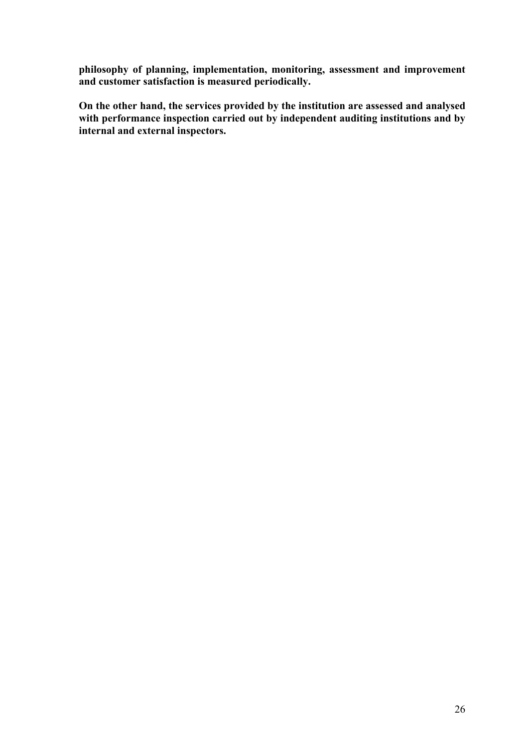**philosophy of planning, implementation, monitoring, assessment and improvement and customer satisfaction is measured periodically.** 

**On the other hand, the services provided by the institution are assessed and analysed with performance inspection carried out by independent auditing institutions and by internal and external inspectors.**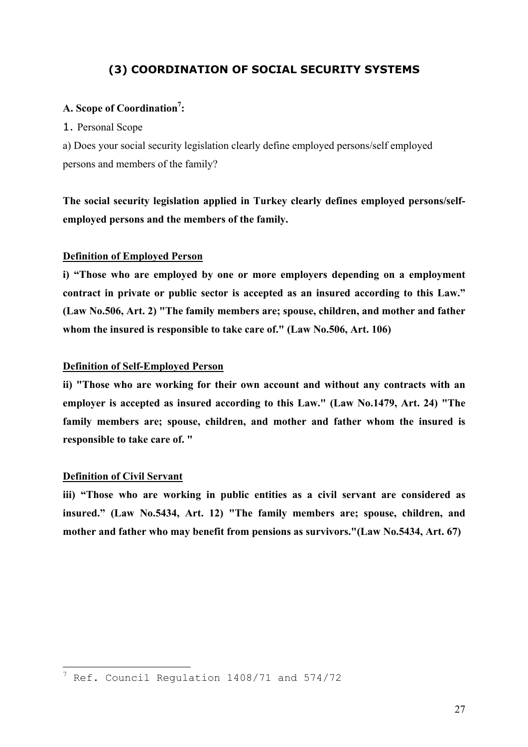# **(3) COORDINATION OF SOCIAL SECURITY SYSTEMS**

# A. Scope of Coordination<sup>7</sup>:

#### 1. Personal Scope

a) Does your social security legislation clearly define employed persons/self employed persons and members of the family?

**The social security legislation applied in Turkey clearly defines employed persons/selfemployed persons and the members of the family.** 

#### **Definition of Employed Person**

**i) "Those who are employed by one or more employers depending on a employment contract in private or public sector is accepted as an insured according to this Law." (Law No.506, Art. 2) "The family members are; spouse, children, and mother and father whom the insured is responsible to take care of." (Law No.506, Art. 106)** 

#### **Definition of Self-Employed Person**

**ii) "Those who are working for their own account and without any contracts with an employer is accepted as insured according to this Law." (Law No.1479, Art. 24) "The family members are; spouse, children, and mother and father whom the insured is responsible to take care of. "** 

#### **Definition of Civil Servant**

**iii) "Those who are working in public entities as a civil servant are considered as insured." (Law No.5434, Art. 12) "The family members are; spouse, children, and mother and father who may benefit from pensions as survivors."(Law No.5434, Art. 67)** 

 7 Ref. Council Regulation 1408/71 and 574/72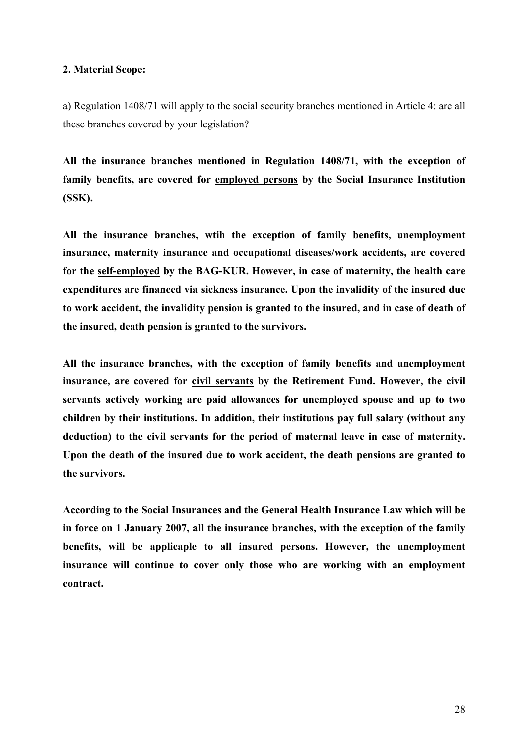#### **2. Material Scope:**

a) Regulation 1408/71 will apply to the social security branches mentioned in Article 4: are all these branches covered by your legislation?

**All the insurance branches mentioned in Regulation 1408/71, with the exception of family benefits, are covered for employed persons by the Social Insurance Institution (SSK).** 

**All the insurance branches, wtih the exception of family benefits, unemployment insurance, maternity insurance and occupational diseases/work accidents, are covered for the self-employed by the BAG-KUR. However, in case of maternity, the health care expenditures are financed via sickness insurance. Upon the invalidity of the insured due to work accident, the invalidity pension is granted to the insured, and in case of death of the insured, death pension is granted to the survivors.** 

**All the insurance branches, with the exception of family benefits and unemployment**  insurance, are covered for civil servants by the Retirement Fund. However, the civil **servants actively working are paid allowances for unemployed spouse and up to two children by their institutions. In addition, their institutions pay full salary (without any deduction) to the civil servants for the period of maternal leave in case of maternity. Upon the death of the insured due to work accident, the death pensions are granted to the survivors.** 

**According to the Social Insurances and the General Health Insurance Law which will be in force on 1 January 2007, all the insurance branches, with the exception of the family benefits, will be applicaple to all insured persons. However, the unemployment insurance will continue to cover only those who are working with an employment contract.**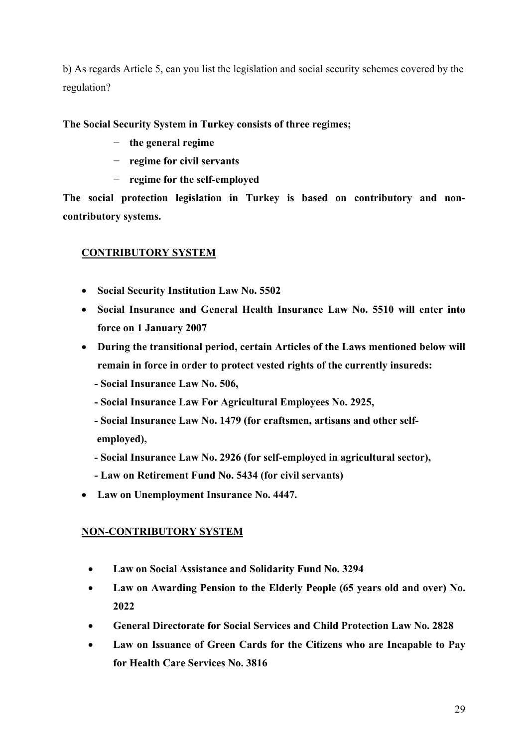b) As regards Article 5, can you list the legislation and social security schemes covered by the regulation?

**The Social Security System in Turkey consists of three regimes;** 

- − **the general regime**
- − **regime for civil servants**
- − **regime for the self-employed**

**The social protection legislation in Turkey is based on contributory and noncontributory systems.** 

# **CONTRIBUTORY SYSTEM**

- **Social Security Institution Law No. 5502**
- **Social Insurance and General Health Insurance Law No. 5510 will enter into force on 1 January 2007**
- **During the transitional period, certain Articles of the Laws mentioned below will remain in force in order to protect vested rights of the currently insureds:** 
	- **Social Insurance Law No. 506,**
	- **Social Insurance Law For Agricultural Employees No. 2925,**
	- **Social Insurance Law No. 1479 (for craftsmen, artisans and other self employed),**
	- **Social Insurance Law No. 2926 (for self-employed in agricultural sector),**
	- **Law on Retirement Fund No. 5434 (for civil servants)**
- **Law on Unemployment Insurance No. 4447.**

# **NON-CONTRIBUTORY SYSTEM**

- **Law on Social Assistance and Solidarity Fund No. 3294**
- **Law on Awarding Pension to the Elderly People (65 years old and over) No. 2022**
- **General Directorate for Social Services and Child Protection Law No. 2828**
- **Law on Issuance of Green Cards for the Citizens who are Incapable to Pay for Health Care Services No. 3816**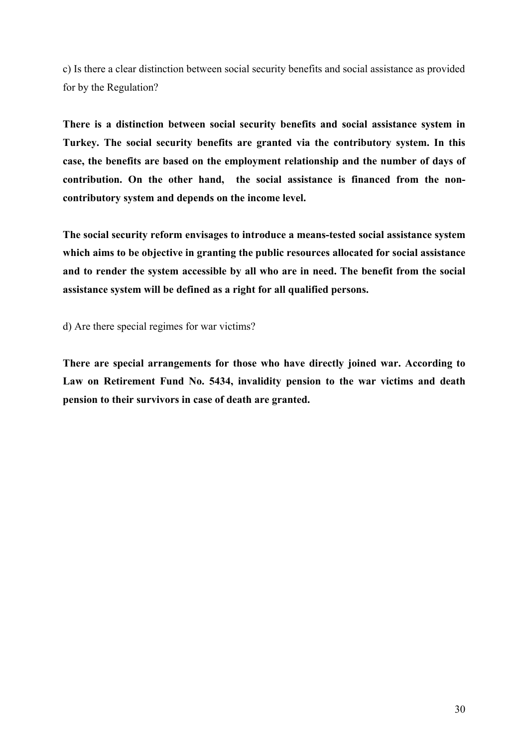c) Is there a clear distinction between social security benefits and social assistance as provided for by the Regulation?

**There is a distinction between social security benefits and social assistance system in Turkey. The social security benefits are granted via the contributory system. In this case, the benefits are based on the employment relationship and the number of days of contribution. On the other hand, the social assistance is financed from the noncontributory system and depends on the income level.** 

**The social security reform envisages to introduce a means-tested social assistance system which aims to be objective in granting the public resources allocated for social assistance and to render the system accessible by all who are in need. The benefit from the social assistance system will be defined as a right for all qualified persons.** 

d) Are there special regimes for war victims?

**There are special arrangements for those who have directly joined war. According to Law on Retirement Fund No. 5434, invalidity pension to the war victims and death pension to their survivors in case of death are granted.**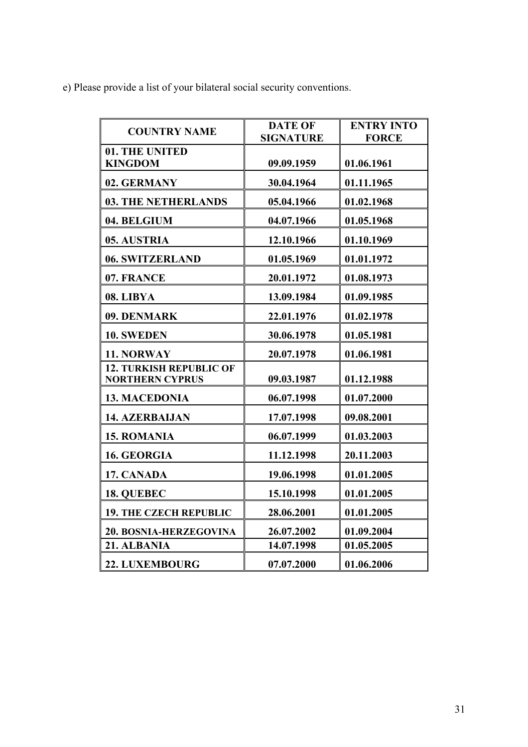e) Please provide a list of your bilateral social security conventions.

|                                | <b>DATE OF</b>   | <b>ENTRY INTO</b> |
|--------------------------------|------------------|-------------------|
| <b>COUNTRY NAME</b>            | <b>SIGNATURE</b> | <b>FORCE</b>      |
| 01. THE UNITED                 |                  |                   |
| <b>KINGDOM</b>                 | 09.09.1959       | 01.06.1961        |
| 02. GERMANY                    | 30.04.1964       | 01.11.1965        |
| <b>03. THE NETHERLANDS</b>     | 05.04.1966       | 01.02.1968        |
| 04. BELGIUM                    | 04.07.1966       | 01.05.1968        |
| 05. AUSTRIA                    | 12.10.1966       | 01.10.1969        |
| 06. SWITZERLAND                | 01.05.1969       | 01.01.1972        |
| 07. FRANCE                     | 20.01.1972       | 01.08.1973        |
| 08. LIBYA                      | 13.09.1984       | 01.09.1985        |
| 09. DENMARK                    | 22.01.1976       | 01.02.1978        |
| 10. SWEDEN                     | 30.06.1978       | 01.05.1981        |
| 11. NORWAY                     | 20.07.1978       | 01.06.1981        |
| <b>12. TURKISH REPUBLIC OF</b> |                  |                   |
| <b>NORTHERN CYPRUS</b>         | 09.03.1987       | 01.12.1988        |
| <b>13. MACEDONIA</b>           | 06.07.1998       | 01.07.2000        |
| <b>14. AZERBAIJAN</b>          | 17.07.1998       | 09.08.2001        |
| <b>15. ROMANIA</b>             | 06.07.1999       | 01.03.2003        |
| 16. GEORGIA                    | 11.12.1998       | 20.11.2003        |
| 17. CANADA                     | 19.06.1998       | 01.01.2005        |
| 18. QUEBEC                     | 15.10.1998       | 01.01.2005        |
| <b>19. THE CZECH REPUBLIC</b>  | 28.06.2001       | 01.01.2005        |
| 20. BOSNIA-HERZEGOVINA         | 26.07.2002       | 01.09.2004        |
| 21. ALBANIA                    | 14.07.1998       | 01.05.2005        |
| 22. LUXEMBOURG                 | 07.07.2000       | 01.06.2006        |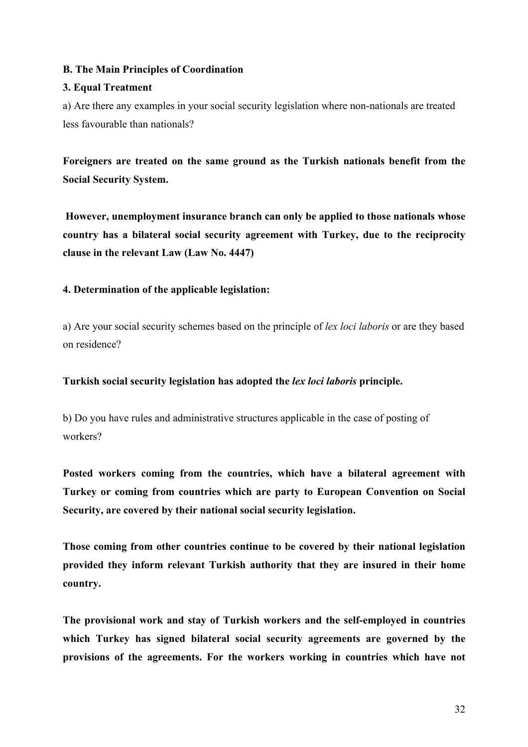### **B. The Main Principles of Coordination**

### **3. Equal Treatment**

a) Are there any examples in your social security legislation where non-nationals are treated less favourable than nationals?

**Foreigners are treated on the same ground as the Turkish nationals benefit from the Social Security System.** 

 **However, unemployment insurance branch can only be applied to those nationals whose country has a bilateral social security agreement with Turkey, due to the reciprocity clause in the relevant Law (Law No. 4447)** 

# **4. Determination of the applicable legislation:**

a) Are your social security schemes based on the principle of *lex loci laboris* or are they based on residence?

### **Turkish social security legislation has adopted the** *lex loci laboris* **principle.**

b) Do you have rules and administrative structures applicable in the case of posting of workers?

**Posted workers coming from the countries, which have a bilateral agreement with Turkey or coming from countries which are party to European Convention on Social Security, are covered by their national social security legislation.** 

**Those coming from other countries continue to be covered by their national legislation provided they inform relevant Turkish authority that they are insured in their home country.** 

**The provisional work and stay of Turkish workers and the self-employed in countries which Turkey has signed bilateral social security agreements are governed by the provisions of the agreements. For the workers working in countries which have not**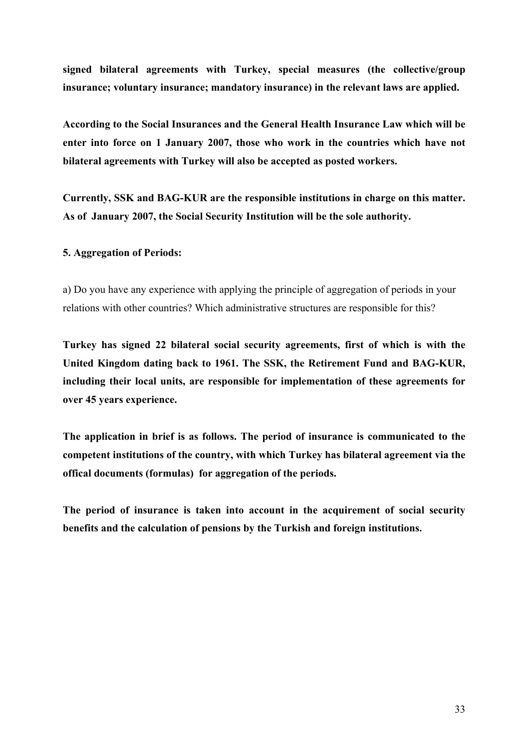**signed bilateral agreements with Turkey, special measures (the collective/group insurance; voluntary insurance; mandatory insurance) in the relevant laws are applied.** 

**According to the Social Insurances and the General Health Insurance Law which will be enter into force on 1 January 2007, those who work in the countries which have not bilateral agreements with Turkey will also be accepted as posted workers.** 

**Currently, SSK and BAG-KUR are the responsible institutions in charge on this matter. As of January 2007, the Social Security Institution will be the sole authority.** 

#### **5. Aggregation of Periods:**

a) Do you have any experience with applying the principle of aggregation of periods in your relations with other countries? Which administrative structures are responsible for this?

**Turkey has signed 22 bilateral social security agreements, first of which is with the United Kingdom dating back to 1961. The SSK, the Retirement Fund and BAG-KUR, including their local units, are responsible for implementation of these agreements for over 45 years experience.** 

**The application in brief is as follows. The period of insurance is communicated to the competent institutions of the country, with which Turkey has bilateral agreement via the offical documents (formulas) for aggregation of the periods.** 

**The period of insurance is taken into account in the acquirement of social security benefits and the calculation of pensions by the Turkish and foreign institutions.**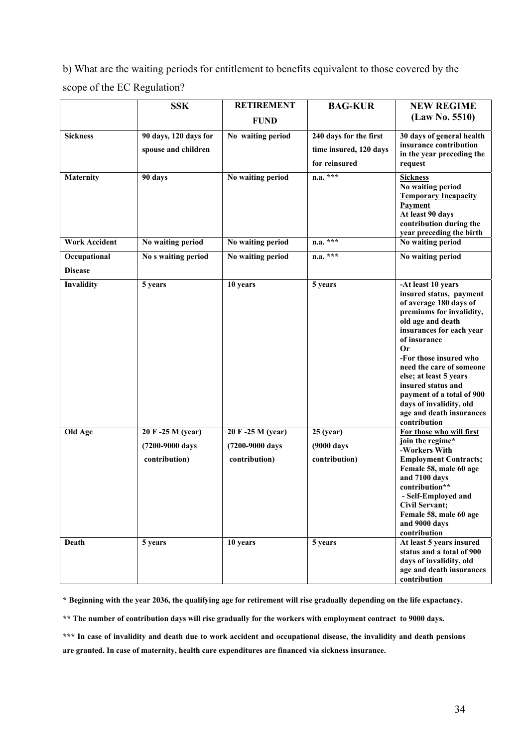b) What are the waiting periods for entitlement to benefits equivalent to those covered by the scope of the EC Regulation?

|                      | <b>SSK</b>                                           | <b>RETIREMENT</b>                                     | <b>BAG-KUR</b>                             | <b>NEW REGIME</b>                                                                                                                                                                                                                                                                                                                                                                    |
|----------------------|------------------------------------------------------|-------------------------------------------------------|--------------------------------------------|--------------------------------------------------------------------------------------------------------------------------------------------------------------------------------------------------------------------------------------------------------------------------------------------------------------------------------------------------------------------------------------|
|                      |                                                      | <b>FUND</b>                                           |                                            | (Law No. 5510)                                                                                                                                                                                                                                                                                                                                                                       |
| <b>Sickness</b>      | 90 days, 120 days for                                | No waiting period                                     | 240 days for the first                     | 30 days of general health                                                                                                                                                                                                                                                                                                                                                            |
|                      | spouse and children                                  |                                                       | time insured, 120 days                     | insurance contribution<br>in the year preceding the                                                                                                                                                                                                                                                                                                                                  |
|                      |                                                      |                                                       | for reinsured                              | request                                                                                                                                                                                                                                                                                                                                                                              |
| <b>Maternity</b>     | 90 days                                              | No waiting period                                     | $n.a. * * *$                               | <b>Sickness</b><br>No waiting period<br><b>Temporary Incapacity</b><br>Payment<br>At least 90 days<br>contribution during the<br>year preceding the birth                                                                                                                                                                                                                            |
| <b>Work Accident</b> | No waiting period                                    | No waiting period                                     | $n.a. * * *$                               | No waiting period                                                                                                                                                                                                                                                                                                                                                                    |
| Occupational         | No s waiting period                                  | No waiting period                                     | $n.a.$ ***                                 | No waiting period                                                                                                                                                                                                                                                                                                                                                                    |
| <b>Disease</b>       |                                                      |                                                       |                                            |                                                                                                                                                                                                                                                                                                                                                                                      |
| Invalidity           | 5 years                                              | 10 years                                              | 5 years                                    | -At least 10 years<br>insured status, payment<br>of average 180 days of<br>premiums for invalidity,<br>old age and death<br>insurances for each year<br>of insurance<br>Or<br>-For those insured who<br>need the care of someone<br>else; at least 5 years<br>insured status and<br>payment of a total of 900<br>days of invalidity, old<br>age and death insurances<br>contribution |
| Old Age              | 20 F-25 M (year)<br>(7200-9000 days<br>contribution) | 20 F -25 M (year)<br>(7200-9000 days<br>contribution) | $25$ (year)<br>(9000 days<br>contribution) | For those who will first<br>join the regime*<br>-Workers With<br><b>Employment Contracts;</b><br>Female 58, male 60 age<br>and 7100 days<br>contribution**<br>- Self-Employed and<br><b>Civil Servant;</b><br>Female 58, male 60 age<br>and 9000 days<br>contribution                                                                                                                |
| Death                | 5 years                                              | 10 years                                              | 5 years                                    | At least 5 years insured<br>status and a total of 900<br>days of invalidity, old<br>age and death insurances<br>contribution                                                                                                                                                                                                                                                         |

**\* Beginning with the year 2036, the qualifying age for retirement will rise gradually depending on the life expactancy.** 

**\*\* The number of contribution days will rise gradually for the workers with employment contract to 9000 days.** 

**\*\*\* In case of invalidity and death due to work accident and occupational disease, the invalidity and death pensions are granted. In case of maternity, health care expenditures are financed via sickness insurance.**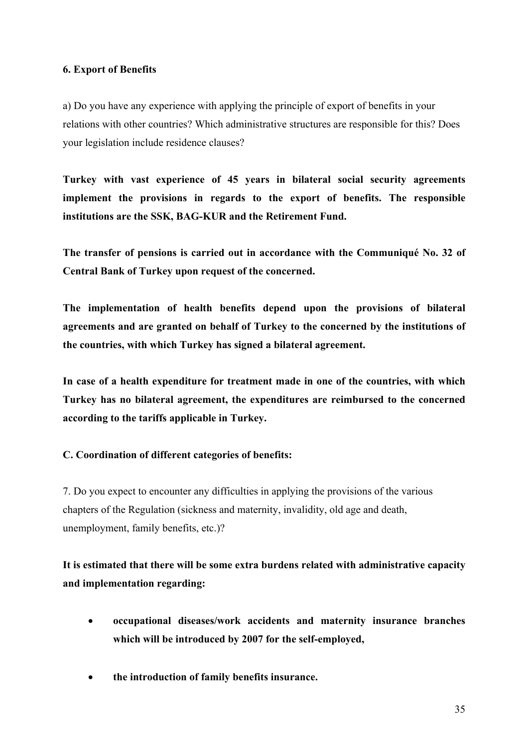#### **6. Export of Benefits**

a) Do you have any experience with applying the principle of export of benefits in your relations with other countries? Which administrative structures are responsible for this? Does your legislation include residence clauses?

**Turkey with vast experience of 45 years in bilateral social security agreements implement the provisions in regards to the export of benefits. The responsible institutions are the SSK, BAG-KUR and the Retirement Fund.** 

**The transfer of pensions is carried out in accordance with the Communiqué No. 32 of Central Bank of Turkey upon request of the concerned.** 

**The implementation of health benefits depend upon the provisions of bilateral agreements and are granted on behalf of Turkey to the concerned by the institutions of the countries, with which Turkey has signed a bilateral agreement.** 

**In case of a health expenditure for treatment made in one of the countries, with which Turkey has no bilateral agreement, the expenditures are reimbursed to the concerned according to the tariffs applicable in Turkey.** 

### **C. Coordination of different categories of benefits:**

7. Do you expect to encounter any difficulties in applying the provisions of the various chapters of the Regulation (sickness and maternity, invalidity, old age and death, unemployment, family benefits, etc.)?

**It is estimated that there will be some extra burdens related with administrative capacity and implementation regarding:** 

- **occupational diseases/work accidents and maternity insurance branches which will be introduced by 2007 for the self-employed,**
- **the introduction of family benefits insurance.**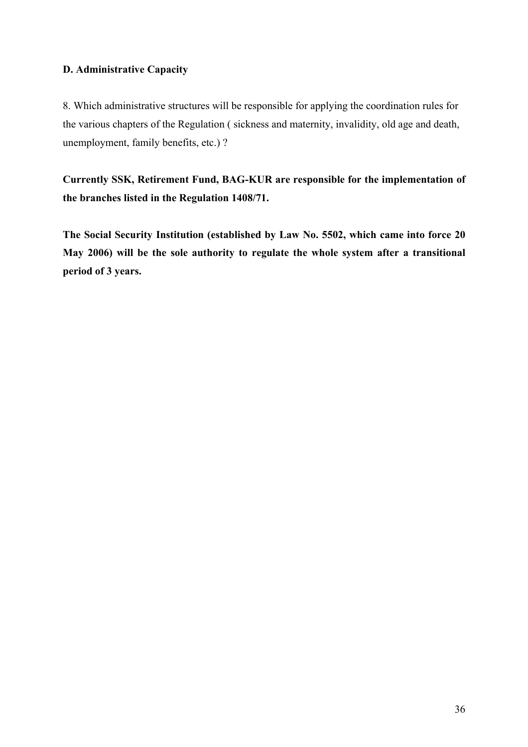# **D. Administrative Capacity**

8. Which administrative structures will be responsible for applying the coordination rules for the various chapters of the Regulation ( sickness and maternity, invalidity, old age and death, unemployment, family benefits, etc.) ?

**Currently SSK, Retirement Fund, BAG-KUR are responsible for the implementation of the branches listed in the Regulation 1408/71.** 

**The Social Security Institution (established by Law No. 5502, which came into force 20 May 2006) will be the sole authority to regulate the whole system after a transitional period of 3 years.**